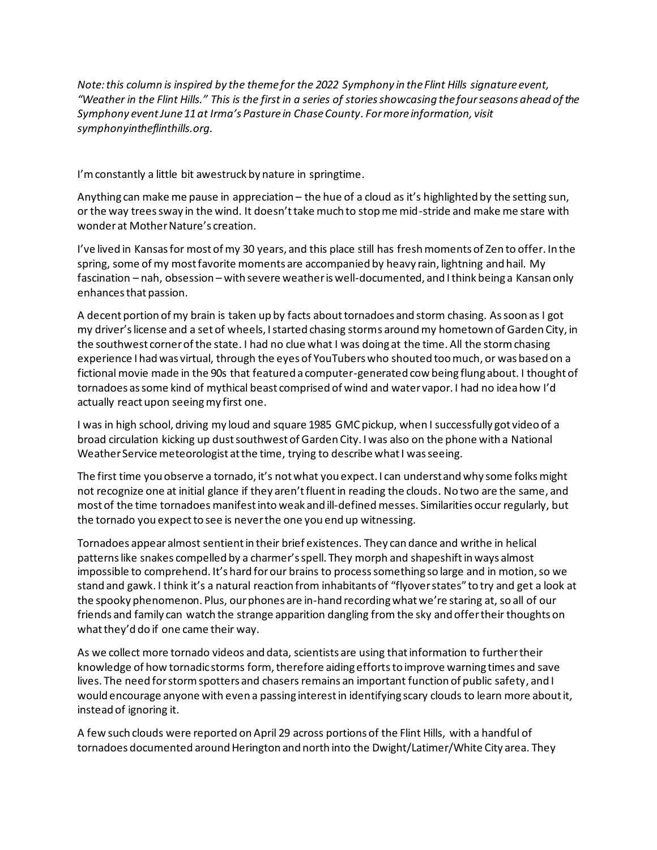*Note: this column is inspired by the theme for the 2022 Symphony in the Flint Hills signature event, "Weather in the Flint Hills." This is the first in a series of storiesshowcasing the four seasons ahead of the Symphony event June 11at Irma's Pasture in Chase County. For more information, visit symphonyintheflinthills.org.* 

I'm constantly a little bit awestruck by nature in springtime.

Anything can make me pause in appreciation – the hue of a cloud as it's highlighted by the setting sun, or the way trees sway in the wind. It doesn't take much to stop me mid-stride and make me stare with wonder at Mother Nature's creation.

I've lived in Kansas for most of my 30 years, and this place still has fresh moments of Zen to offer. In the spring, some of my most favorite moments are accompanied by heavy rain, lightning and hail. My fascination – nah, obsession – with severe weather is well-documented, and I think being a Kansan only enhances that passion.

A decent portion of my brain is taken up by facts abouttornadoes and storm chasing. As soon as I got my driver's license and a set of wheels, I started chasing storms around my hometown of Garden City, in the southwest corner of the state. I had no clue what I was doing at the time. All the storm chasing experience I had was virtual, through the eyes of YouTubers who shouted too much, or was based on a fictional movie made in the 90s that featured a computer-generated cow being flung about. I thought of tornadoes as some kind of mythical beast comprised of wind and water vapor. I had no idea how I'd actually react upon seeing my first one.

I was in high school, driving my loud and square 1985 GMC pickup, when I successfully got video of a broad circulation kicking up dust southwest of Garden City. I was also on the phone with a National Weather Service meteorologist at the time, trying to describe what I was seeing.

The first time you observe a tornado, it's not what you expect. I can understand why some folks might not recognize one at initial glance if they aren't fluent in reading the clouds. No two are the same, and most of the time tornadoes manifest into weak and ill-definedmesses. Similarities occur regularly, but the tornado you expect to see is never the one you end up witnessing.

Tornadoes appear almost sentient in their brief existences. They can dance and writhe in helical patterns like snakes compelled by a charmer's spell. They morph and shapeshift in ways almost impossible to comprehend. It's hard for our brains to process something so large and in motion, so we stand and gawk. I think it's a natural reaction from inhabitants of "flyover states" to try and get a look at the spooky phenomenon. Plus, our phones are in-hand recording what we're staring at, so all of our friends and family can watch the strange apparition dangling from the sky and offer their thoughts on what they'd do if one came their way.

As we collect more tornado videos and data, scientists are using that information to further their knowledge of how tornadic storms form, therefore aiding effortsto improve warning times and save lives. The need for storm spotters and chasers remains an important function of public safety, and I would encourage anyone with even a passing interest in identifying scary clouds to learn more about it, instead of ignoring it.

A few such clouds were reported on April 29 across portions of the Flint Hills, with a handful of tornadoes documented around Herington and north into the Dwight/Latimer/White City area. They